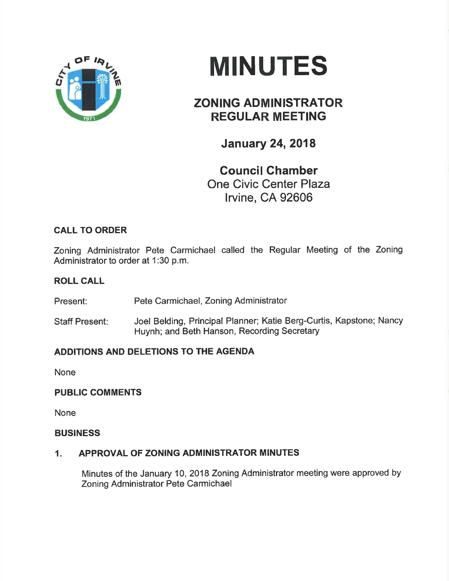

# **MINUTES**

## ZONING ADMINISTRATOR REGULAR MEETING

**January 24, 2018** 

Gouncil Ghamber One Civic Center Plaza lrvine, CA 92606

### CALL TO ORDER

Zoning Administrator Pete Carmichael called the Regular Meeting of the Zoning Administrator to order at 1:30 p.m.

#### ROLL CALL

Present: Pete Carmichael, Zoning Administrator

Staff Present: Joel Belding, Principal Planner; Katie Berg-Curtis, Kapstone; Nancy Huynh; and Beth Hanson, Recording Secretary

#### ADDITIONS AND DELETIONS TO THE AGENDA

None

#### PUBLIC COMMENTS

None

#### **BUSINESS**

#### 1. APPROVAL OF ZONING ADMINISTRATOR MINUTES

Minutes of the January 10,2018 Zoning Administrator meeting were approved by Zoning Administrator Pete Carmichael